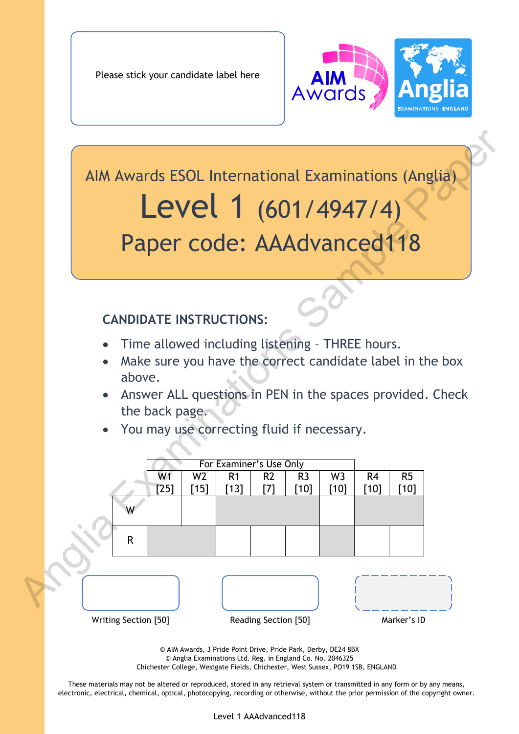Please stick your candidate label here



# Level 1 (601/4947/4) Paper code: AAAdvanced118

# **CANDIDATE INSTRUCTIONS:**

- Time allowed including listening THREE hours.
- Make sure you have the correct candidate label in the box above.
- Answer ALL questions in PEN in the spaces provided. Check the back page.
- You may use correcting fluid if necessary.

|  |                      | AIM Awards ESOL International Examinations (Anglia)<br>Level 1 (601/4947/4)                                     |                          |                          |                       |                          |                        |                          |              |                                                                                                                        |  |
|--|----------------------|-----------------------------------------------------------------------------------------------------------------|--------------------------|--------------------------|-----------------------|--------------------------|------------------------|--------------------------|--------------|------------------------------------------------------------------------------------------------------------------------|--|
|  |                      | Paper code: AAAdvanced118                                                                                       |                          |                          |                       |                          |                        |                          |              |                                                                                                                        |  |
|  |                      | <b>CANDIDATE INSTRUCTIONS:</b>                                                                                  |                          |                          |                       |                          |                        |                          |              |                                                                                                                        |  |
|  | above.               | Time allowed including listening - THREE hours.<br>the back page.<br>You may use correcting fluid if necessary. |                          |                          |                       |                          |                        |                          |              | Make sure you have the correct candidate label in the box<br>Answer ALL questions in PEN in the spaces provided. Check |  |
|  |                      |                                                                                                                 |                          | For Examiner's Use Only  |                       |                          |                        |                          |              |                                                                                                                        |  |
|  |                      | W <sub>1</sub><br>[25]                                                                                          | W <sub>2</sub><br>$[15]$ | R <sub>1</sub><br>$[13]$ | R <sub>2</sub><br>[7] | R <sub>3</sub><br>$[10]$ | W <sub>3</sub><br>[10] | R <sub>4</sub><br>$[10]$ | R5<br>$[10]$ |                                                                                                                        |  |
|  |                      |                                                                                                                 |                          |                          |                       |                          |                        |                          |              |                                                                                                                        |  |
|  | R                    |                                                                                                                 |                          |                          |                       |                          |                        |                          |              |                                                                                                                        |  |
|  |                      |                                                                                                                 |                          |                          |                       |                          |                        |                          |              |                                                                                                                        |  |
|  | Writing Section [50] |                                                                                                                 |                          |                          | Reading Section [50]  |                          |                        |                          | Marker's ID  |                                                                                                                        |  |

© AIM Awards, 3 Pride Point Drive, Pride Park, Derby, DE24 8BX © Anglia Examinations Ltd. Reg. in England Co. No. 2046325 Chichester College, Westgate Fields, Chichester, West Sussex, PO19 1SB, ENGLAND

These materials may not be altered or reproduced, stored in any retrieval system or transmitted in any form or by any means, electronic, electrical, chemical, optical, photocopying, recording or otherwise, without the prior permission of the copyright owner.

Level 1 AAAdvanced118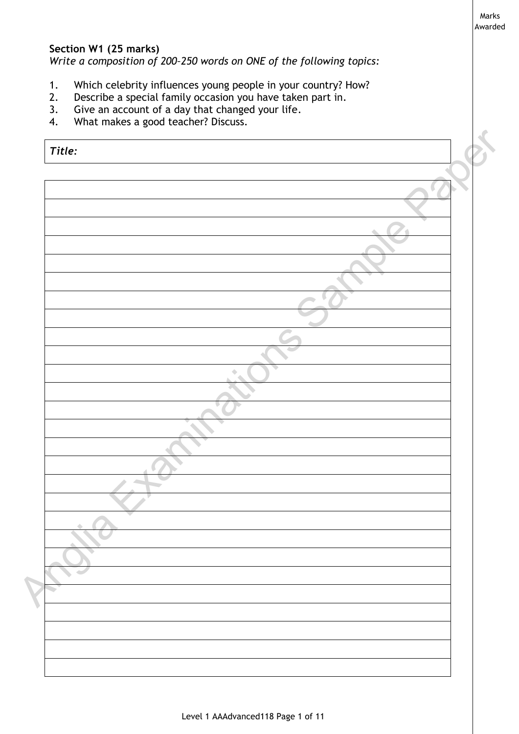Marks Awarded

## **Section W1 (25 marks)**

*Write a composition of 200–250 words on ONE of the following topics:*

- 1. Which celebrity influences young people in your country? How?
- 2. Describe a special family occasion you have taken part in.
- 3. Give an account of a day that changed your life.
- 4. What makes a good teacher? Discuss.

| Title:                   |   |  |
|--------------------------|---|--|
|                          |   |  |
|                          |   |  |
|                          |   |  |
|                          |   |  |
|                          |   |  |
|                          |   |  |
|                          |   |  |
|                          |   |  |
|                          |   |  |
|                          | ۰ |  |
|                          |   |  |
|                          |   |  |
|                          |   |  |
|                          |   |  |
|                          |   |  |
|                          |   |  |
|                          |   |  |
|                          |   |  |
|                          |   |  |
| $\overline{\phantom{a}}$ |   |  |
|                          |   |  |
|                          |   |  |
|                          |   |  |
|                          |   |  |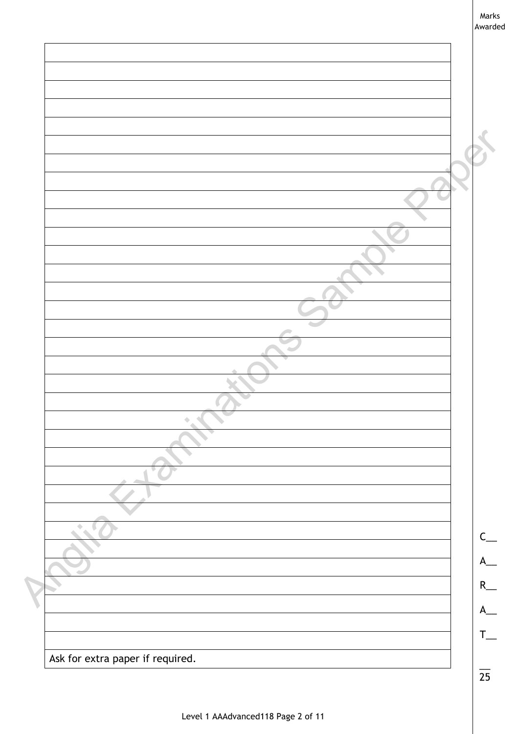| Marks   |  |
|---------|--|
| Awarded |  |

| Ask for extra paper if required. |  |
|----------------------------------|--|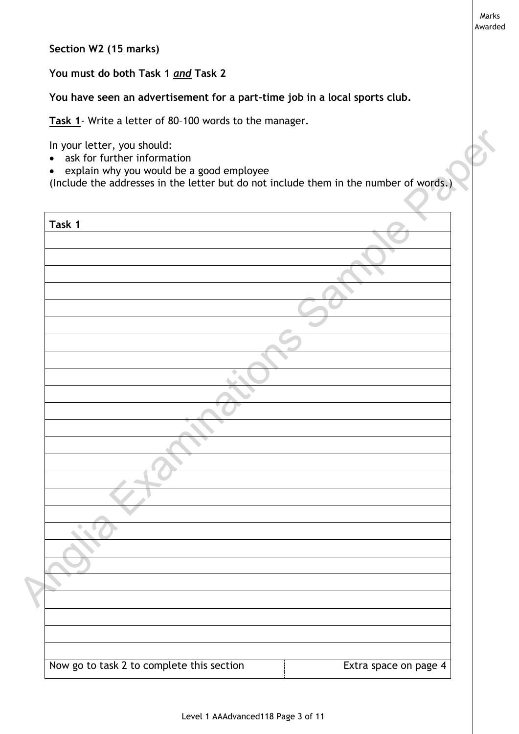**Section W2 (15 marks)**

**You must do both Task 1** *and* **Task 2**

**You have seen an advertisement for a part-time job in a local sports club.**

**Task 1**- Write a letter of 80–100 words to the manager.

- ask for further information
- explain why you would be a good employee

| Task 1 |  |  |  |
|--------|--|--|--|
|        |  |  |  |
|        |  |  |  |
|        |  |  |  |
|        |  |  |  |
|        |  |  |  |
|        |  |  |  |
|        |  |  |  |
|        |  |  |  |
|        |  |  |  |
|        |  |  |  |
|        |  |  |  |
|        |  |  |  |
|        |  |  |  |
|        |  |  |  |
|        |  |  |  |
|        |  |  |  |
|        |  |  |  |
|        |  |  |  |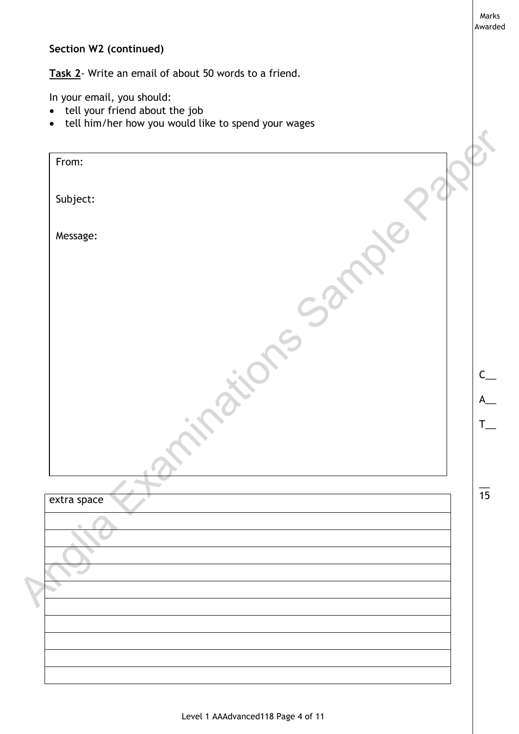# **Section W2 (continued)**

**Task 2**- Write an email of about 50 words to a friend.

In your email, you should:

- tell your friend about the job
- tell him/her how you would like to spend your wages

| From:                    |  |  |
|--------------------------|--|--|
| Subject:                 |  |  |
| Message:                 |  |  |
|                          |  |  |
|                          |  |  |
|                          |  |  |
|                          |  |  |
|                          |  |  |
|                          |  |  |
|                          |  |  |
| extra space              |  |  |
|                          |  |  |
| $\overline{\phantom{a}}$ |  |  |
|                          |  |  |
|                          |  |  |
|                          |  |  |

Marks Awarded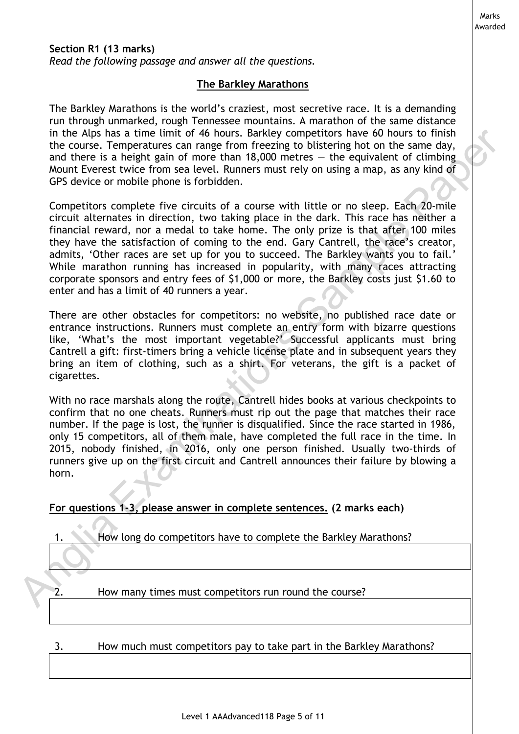*Read the following passage and answer all the questions.*

#### **The Barkley Marathons**

Marks Awarded

The Barkley Marathons is the world's craziest, most secretive race. It is a demanding run through unmarked, rough Tennessee mountains. A marathon of the same distance in the Alps has a time limit of 46 hours. Barkley competitors have 60 hours to finish the course. Temperatures can range from freezing to blistering hot on the same day, and there is a height gain of more than 18,000 metres  $-$  the equivalent of climbing Mount Everest twice from sea level. Runners must rely on using a map, as any kind of GPS device or mobile phone is forbidden.

Competitors complete five circuits of a course with little or no sleep. Each 20-mile circuit alternates in direction, two taking place in the dark. This race has neither a financial reward, nor a medal to take home. The only prize is that after 100 miles they have the satisfaction of coming to the end. Gary Cantrell, the race's creator, admits, 'Other races are set up for you to succeed. The Barkley wants you to fail.' While marathon running has increased in popularity, with many races attracting corporate sponsors and entry fees of \$1,000 or more, the Barkley costs just \$1.60 to enter and has a limit of 40 runners a year. in the Algos has a timit in d 46 hours. Bankley competitors have 60 hours to frinish<br>the course. Emperatures can range from freezing to bitstering hot on the same day,<br>and thee is a height gain of more than 18,000 metres -

There are other obstacles for competitors: no website, no published race date or entrance instructions. Runners must complete an entry form with bizarre questions like, 'What's the most important vegetable?' Successful applicants must bring Cantrell a gift: first-timers bring a vehicle license plate and in subsequent years they bring an item of clothing, such as a shirt. For veterans, the gift is a packet of cigarettes.

With no race marshals along the route, Cantrell hides books at various checkpoints to confirm that no one cheats. Runners must rip out the page that matches their race number. If the page is lost, the runner is disqualified. Since the race started in 1986, only 15 competitors, all of them male, have completed the full race in the time. In 2015, nobody finished, in 2016, only one person finished. Usually two-thirds of runners give up on the first circuit and Cantrell announces their failure by blowing a horn.

#### **For questions 1-3, please answer in complete sentences. (2 marks each)**

|  |  |  | How long do competitors have to complete the Barkley Marathons? |
|--|--|--|-----------------------------------------------------------------|
|  |  |  |                                                                 |
|  |  |  |                                                                 |

2. How many times must competitors run round the course?

3. How much must competitors pay to take part in the Barkley Marathons?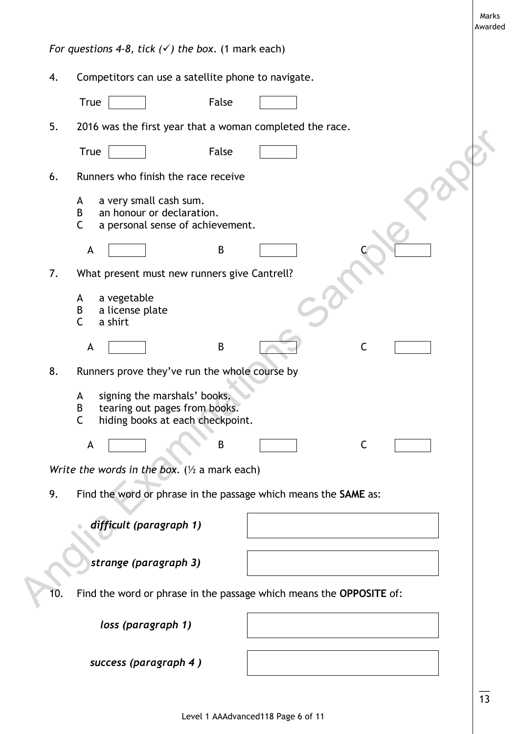|     |                                                                                                                             | Marks<br>Awarded |
|-----|-----------------------------------------------------------------------------------------------------------------------------|------------------|
|     | For questions 4-8, tick $(\checkmark)$ the box. (1 mark each)                                                               |                  |
| 4.  | Competitors can use a satellite phone to navigate.                                                                          |                  |
|     | False<br><b>True</b>                                                                                                        |                  |
| 5.  | 2016 was the first year that a woman completed the race.                                                                    |                  |
|     | False<br><b>True</b>                                                                                                        |                  |
| 6.  | Runners who finish the race receive                                                                                         |                  |
|     | a very small cash sum.<br>A<br>an honour or declaration.<br>B<br>$\mathsf{C}$<br>a personal sense of achievement.           |                  |
|     | B<br>A                                                                                                                      |                  |
| 7.  | What present must new runners give Cantrell?                                                                                |                  |
|     | a vegetable<br>A<br>a license plate<br>B<br>$\mathsf{C}$<br>a shirt                                                         |                  |
|     | B<br>A<br>С                                                                                                                 |                  |
| 8.  | Runners prove they've run the whole course by                                                                               |                  |
|     | signing the marshals' books.<br>A<br>B<br>tearing out pages from books.<br>hiding books at each checkpoint.<br>$\mathsf{C}$ |                  |
|     | $\mathsf C$<br>A<br>B                                                                                                       |                  |
|     | Write the words in the box. $(\frac{1}{2}$ a mark each)                                                                     |                  |
| 9.  | Find the word or phrase in the passage which means the SAME as:                                                             |                  |
|     | difficult (paragraph 1)                                                                                                     |                  |
|     | strange (paragraph 3)                                                                                                       |                  |
| 10. | Find the word or phrase in the passage which means the OPPOSITE of:                                                         |                  |
|     | loss (paragraph 1)                                                                                                          |                  |
|     | success (paragraph 4)                                                                                                       |                  |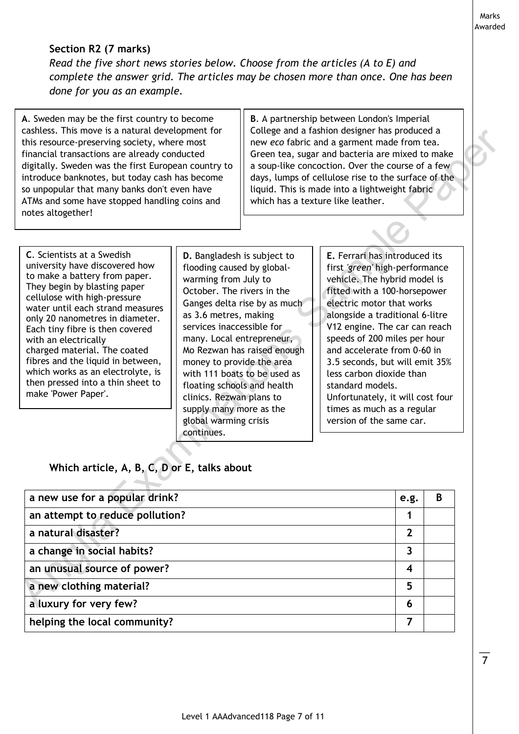Marks Awarded

> $\overline{\phantom{a}}$ 7

# **Section R2 (7 marks)**

*Read the five short news stories below. Choose from the articles (A to E) and complete the answer grid. The articles may be chosen more than once. One has been done for you as an example.*

**A**. Sweden may be the first country to become cashless. This move is a natural development for this resource-preserving society, where most financial transactions are already conducted digitally. Sweden was the first European country to introduce banknotes, but today cash has become so unpopular that many banks don't even have ATMs and some have stopped handling coins and notes altogether!

**B**. A partnership between London's Imperial College and a fashion designer has produced a new *eco* fabric and a garment made from tea. Green tea, sugar and bacteria are mixed to make a soup-like concoction. Over the course of a few days, lumps of cellulose rise to the surface of the liquid. This is made into a lightweight fabric which has a texture like leather.

| cashless. This move is a natural development for<br>this resource-preserving society, where most<br>financial transactions are already conducted<br>digitally. Sweden was the first European country to<br>introduce banknotes, but today cash has become<br>so unpopular that many banks don't even have<br>ATMs and some have stopped handling coins and<br>notes altogether!                                                                                       |                                                                                                                                                                                                                                                                                                                                                              | College and a fashion designer has produced a<br>new eco fabric and a garment made from tea.<br>Green tea, sugar and bacteria are mixed to make<br>a soup-like concoction. Over the course of a few<br>days, lumps of cellulose rise to the surface of the<br>liquid. This is made into a lightweight fabric<br>which has a texture like leather.                                                                                                                                                                                                                              |                         |   |  |
|-----------------------------------------------------------------------------------------------------------------------------------------------------------------------------------------------------------------------------------------------------------------------------------------------------------------------------------------------------------------------------------------------------------------------------------------------------------------------|--------------------------------------------------------------------------------------------------------------------------------------------------------------------------------------------------------------------------------------------------------------------------------------------------------------------------------------------------------------|--------------------------------------------------------------------------------------------------------------------------------------------------------------------------------------------------------------------------------------------------------------------------------------------------------------------------------------------------------------------------------------------------------------------------------------------------------------------------------------------------------------------------------------------------------------------------------|-------------------------|---|--|
| C. Scientists at a Swedish<br>university have discovered how<br>to make a battery from paper.<br>They begin by blasting paper<br>cellulose with high-pressure<br>water until each strand measures<br>only 20 nanometres in diameter.<br>Each tiny fibre is then covered<br>with an electrically<br>charged material. The coated<br>fibres and the liquid in between,<br>which works as an electrolyte, is<br>then pressed into a thin sheet to<br>make 'Power Paper'. | D. Bangladesh is subject to<br>flooding caused by global-<br>warming from July to<br>October. The rivers in the<br>as 3.6 metres, making<br>services inaccessible for<br>many. Local entrepreneur,<br>money to provide the area<br>floating schools and health<br>clinics. Rezwan plans to<br>supply many more as the<br>global warming crisis<br>continues. | E. Ferrari has introduced its<br>first 'green' high-performance<br>vehicle. The hybrid model is<br>fitted with a 100-horsepower<br>electric motor that works<br>Ganges delta rise by as much<br>alongside a traditional 6-litre<br>V12 engine. The car can reach<br>speeds of 200 miles per hour<br>Mo Rezwan has raised enough<br>and accelerate from 0-60 in<br>3.5 seconds, but will emit 35%<br>with 111 boats to be used as<br>less carbon dioxide than<br>standard models.<br>Unfortunately, it will cost four<br>times as much as a regular<br>version of the same car. |                         |   |  |
| Which article, A, B, C, D or E, talks about                                                                                                                                                                                                                                                                                                                                                                                                                           |                                                                                                                                                                                                                                                                                                                                                              |                                                                                                                                                                                                                                                                                                                                                                                                                                                                                                                                                                                |                         |   |  |
| a new use for a popular drink?                                                                                                                                                                                                                                                                                                                                                                                                                                        |                                                                                                                                                                                                                                                                                                                                                              |                                                                                                                                                                                                                                                                                                                                                                                                                                                                                                                                                                                | e.g.                    | B |  |
| an attempt to reduce pollution?                                                                                                                                                                                                                                                                                                                                                                                                                                       |                                                                                                                                                                                                                                                                                                                                                              |                                                                                                                                                                                                                                                                                                                                                                                                                                                                                                                                                                                | 1                       |   |  |
| a natural disaster?                                                                                                                                                                                                                                                                                                                                                                                                                                                   |                                                                                                                                                                                                                                                                                                                                                              |                                                                                                                                                                                                                                                                                                                                                                                                                                                                                                                                                                                | $\overline{2}$          |   |  |
| a change in social habits?                                                                                                                                                                                                                                                                                                                                                                                                                                            |                                                                                                                                                                                                                                                                                                                                                              |                                                                                                                                                                                                                                                                                                                                                                                                                                                                                                                                                                                | $\mathbf{3}$            |   |  |
| an unusual source of power?                                                                                                                                                                                                                                                                                                                                                                                                                                           |                                                                                                                                                                                                                                                                                                                                                              |                                                                                                                                                                                                                                                                                                                                                                                                                                                                                                                                                                                | $\overline{\mathbf{4}}$ |   |  |
| a new clothing material?                                                                                                                                                                                                                                                                                                                                                                                                                                              |                                                                                                                                                                                                                                                                                                                                                              |                                                                                                                                                                                                                                                                                                                                                                                                                                                                                                                                                                                | 5                       |   |  |
| a luxury for very few?                                                                                                                                                                                                                                                                                                                                                                                                                                                |                                                                                                                                                                                                                                                                                                                                                              |                                                                                                                                                                                                                                                                                                                                                                                                                                                                                                                                                                                | 6                       |   |  |
| helping the local community?                                                                                                                                                                                                                                                                                                                                                                                                                                          |                                                                                                                                                                                                                                                                                                                                                              |                                                                                                                                                                                                                                                                                                                                                                                                                                                                                                                                                                                | 7                       |   |  |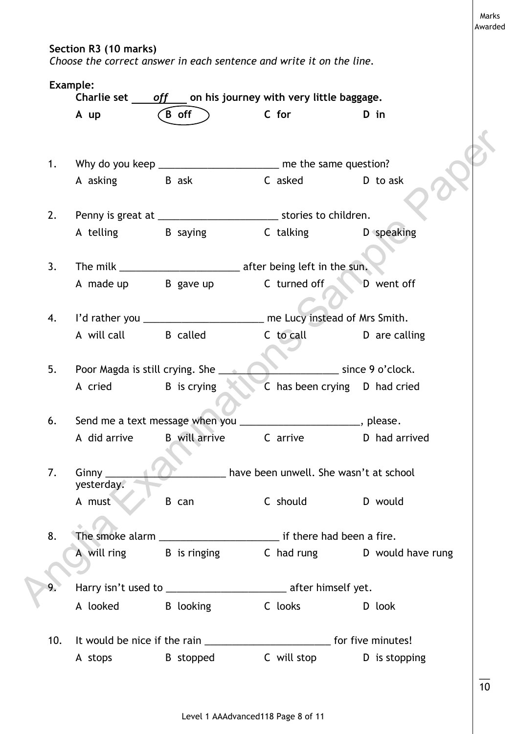**Section R3 (10 marks)**

*Choose the correct answer in each sentence and write it on the line.*

|     | A up                       | $\overline{B}$ off                                                           | C for                                                                                                                                                                                                                         | D in                         |
|-----|----------------------------|------------------------------------------------------------------------------|-------------------------------------------------------------------------------------------------------------------------------------------------------------------------------------------------------------------------------|------------------------------|
|     |                            |                                                                              |                                                                                                                                                                                                                               |                              |
| 1.  |                            | Why do you keep _________________________ me the same question?              |                                                                                                                                                                                                                               |                              |
|     | A asking B ask             |                                                                              | C asked D to ask                                                                                                                                                                                                              |                              |
| 2.  |                            | Penny is great at ________________________________ stories to children.      |                                                                                                                                                                                                                               |                              |
|     |                            | A telling b B saying b C talking b speaking                                  |                                                                                                                                                                                                                               |                              |
| 3.  |                            |                                                                              |                                                                                                                                                                                                                               |                              |
|     |                            | A made up B gave up C turned off D went off                                  |                                                                                                                                                                                                                               |                              |
| 4.  |                            | I'd rather you _______________________ me Lucy instead of Mrs Smith.         |                                                                                                                                                                                                                               |                              |
|     | A will call B called       |                                                                              | C to call C D are calling                                                                                                                                                                                                     |                              |
| 5.  |                            | Poor Magda is still crying. She                                              |                                                                                                                                                                                                                               | since 9 o'clock.             |
|     | A cried B is crying        |                                                                              | C has been crying D had cried                                                                                                                                                                                                 |                              |
| 6.  |                            | Send me a text message when you ___________________________, please.         |                                                                                                                                                                                                                               |                              |
|     |                            | A did arrive B will arrive                                                   |                                                                                                                                                                                                                               | C arrive D had arrived       |
| 7.  | Ginny $_{-}$<br>yesterday. |                                                                              | have been unwell. She wasn't at school                                                                                                                                                                                        |                              |
|     | A must                     | B can                                                                        | C should                                                                                                                                                                                                                      | D would                      |
| 8.  |                            |                                                                              |                                                                                                                                                                                                                               |                              |
|     |                            | A will ring B is ringing                                                     |                                                                                                                                                                                                                               | C had rung D would have rung |
|     |                            | Harry isn't used to _______________________________ after himself yet.       |                                                                                                                                                                                                                               |                              |
|     | A looked B looking         |                                                                              | C looks and the control of the control of the control of the control of the control of the control of the control of the control of the control of the control of the control of the control of the control of the control of | D look                       |
| 10. |                            | It would be nice if the rain _____________________________ for five minutes! |                                                                                                                                                                                                                               |                              |
|     | A stops                    | B stopped                                                                    |                                                                                                                                                                                                                               | C will stop D is stopping    |

Marks Awarded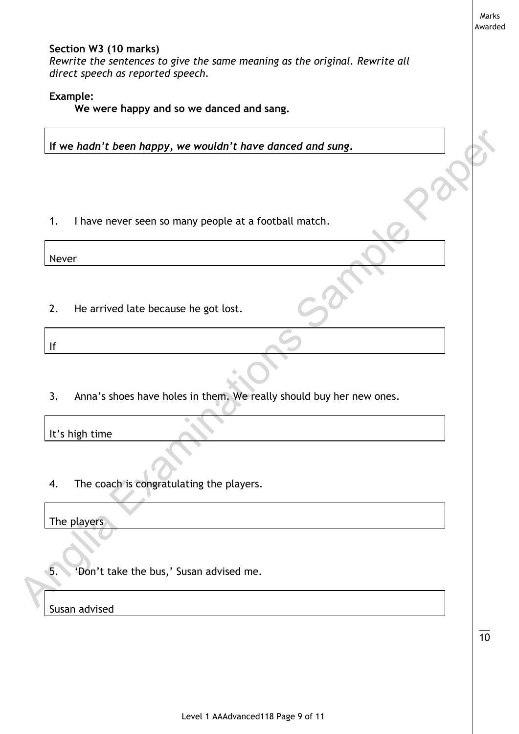|                 |                                                                                                                                           | Marks<br>Awarded |
|-----------------|-------------------------------------------------------------------------------------------------------------------------------------------|------------------|
|                 | Section W3 (10 marks)<br>Rewrite the sentences to give the same meaning as the original. Rewrite all<br>direct speech as reported speech. |                  |
| <b>Example:</b> | We were happy and so we danced and sang.                                                                                                  |                  |
|                 | If we hadn't been happy, we wouldn't have danced and sung.                                                                                |                  |
|                 |                                                                                                                                           |                  |
| 1.              | I have never seen so many people at a football match.                                                                                     |                  |
| Never           |                                                                                                                                           |                  |
| 2.              | He arrived late because he got lost.                                                                                                      |                  |
| If              |                                                                                                                                           |                  |
|                 |                                                                                                                                           |                  |
| 3.              | Anna's shoes have holes in them. We really should buy her new ones.                                                                       |                  |
| It's high time  |                                                                                                                                           |                  |
| 4.              | The coach is congratulating the players.                                                                                                  |                  |
| The players     |                                                                                                                                           |                  |
|                 |                                                                                                                                           |                  |
| 5.              | 'Don't take the bus,' Susan advised me.                                                                                                   |                  |
|                 | ddiab                                                                                                                                     |                  |

 $\overline{\phantom{a}}$ 10

Susan advised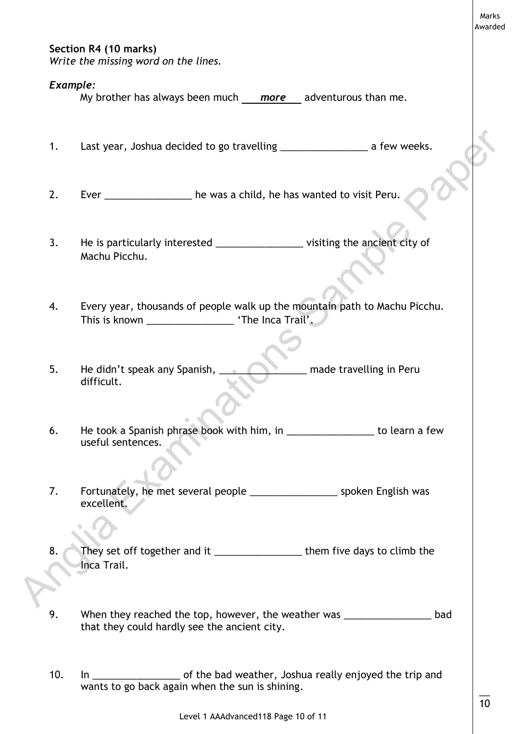## **Section R4 (10 marks)**

*Write the missing word on the lines.*

#### *Example:*

My brother has always been much *more* adventurous than me.

1. Last year, Joshua decided to go travelling \_\_\_\_\_\_\_\_\_\_\_\_\_\_\_\_\_\_\_ a few weeks.

- 2. Ever \_\_\_\_\_\_\_\_\_\_\_\_\_\_\_\_ he was a child, he has wanted to visit Peru.
- 3. He is particularly interested \_\_\_\_\_\_\_\_\_\_\_\_\_\_\_\_\_\_\_\_\_visiting the ancient city of Machu Picchu.
- 4. Every year, thousands of people walk up the mountain path to Machu Picchu. This is known **The Inca Trail'.**
- 5. He didn't speak any Spanish, **EXECUPE 19. He didn't speak any Spanish, Legacy Company** made travelling in Peru difficult.
- 6. He took a Spanish phrase book with him, in **the subset of the seam** to learn a few useful sentences.
- 7. Fortunately, he met several people The Suppleman Supplem English was excellent.
- 8. They set off together and it \_\_\_\_\_\_\_\_\_\_\_\_\_\_\_\_\_\_\_\_ them five days to climb the Inca Trail. 1. Last year, Joshua decided to go travelting<br>
2. Ever<br>
2. Ever<br>
2. He is particularly interested<br>
3. He is particularly interested<br>
3. He is particularly interested<br>
4. Every year, thousands of people walk up the mountain
	- 9. When they reached the top, however, the weather was \_\_\_\_\_\_\_\_\_\_\_\_\_\_\_\_\_\_\_\_\_\_\_\_bad that they could hardly see the ancient city.
	- 10. In \_\_\_\_\_\_\_\_\_\_\_\_\_\_\_\_ of the bad weather, Joshua really enjoyed the trip and wants to go back again when the sun is shining.